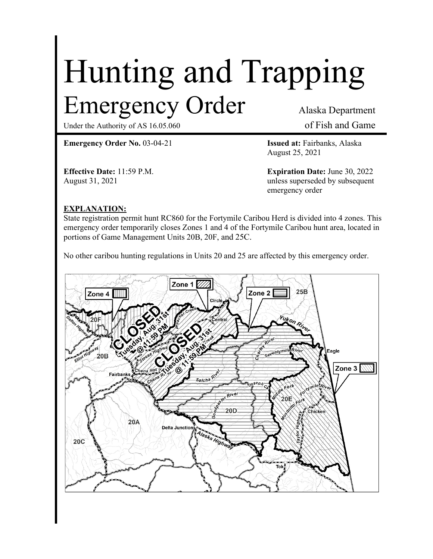# Hunting and Trapping Emergency Order Alaska Department

Under the Authority of AS 16.05.060 of Fish and Game

**Emergency Order No.** 03-04-21 **Issued at:** Fairbanks, Alaska

August 25, 2021

**Effective Date:** 11:59 P.M. **Expiration Date:** June 30, 2022 August 31, 2021 2021 by subsequent emergency order

## **EXPLANATION:**

State registration permit hunt RC860 for the Fortymile Caribou Herd is divided into 4 zones. This emergency order temporarily closes Zones 1 and 4 of the Fortymile Caribou hunt area, located in portions of Game Management Units 20B, 20F, and 25C.

No other caribou hunting regulations in Units 20 and 25 are affected by this emergency order.

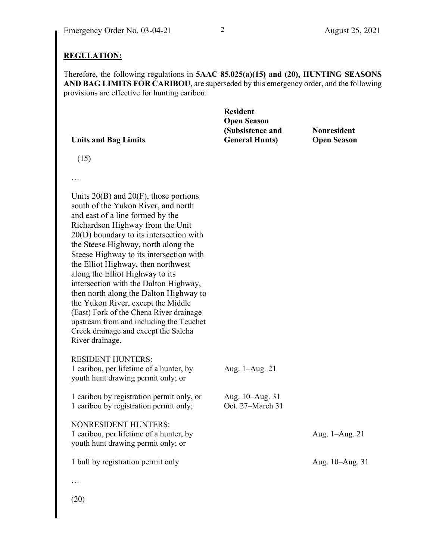#### **REGULATION:**

Therefore, the following regulations in **5AAC 85.025(a)(15) and (20), HUNTING SEASONS AND BAG LIMITS FOR CARIBOU**, are superseded by this emergency order, and the following provisions are effective for hunting caribou:

| <b>Units and Bag Limits</b> | <b>Resident</b><br><b>Open Season</b><br>(Subsistence and<br><b>General Hunts</b> ) | <b>Nonresident</b><br><b>Open Season</b> |
|-----------------------------|-------------------------------------------------------------------------------------|------------------------------------------|
| (15)                        |                                                                                     |                                          |
| $\cdots$                    |                                                                                     |                                          |

Units 20(B) and 20(F), those portions south of the Yukon River, and north and east of a line formed by the Richardson Highway from the Unit 20(D) boundary to its intersection with the Steese Highway, north along the Steese Highway to its intersection with the Elliot Highway, then northwest along the Elliot Highway to its intersection with the Dalton Highway, then north along the Dalton Highway to the Yukon River, except the Middle (East) Fork of the Chena River drainage upstream from and including the Teuchet Creek drainage and except the Salcha River drainage.

RESIDENT HUNTERS: 1 caribou, per lifetime of a hunter, by youth hunt drawing permit only; or Aug. 1–Aug. 21

1 caribou by registration permit only, or Aug. 10–Aug. 31 1 caribou by registration permit only; Oct. 27–March 31 NONRESIDENT HUNTERS: 1 caribou, per lifetime of a hunter, by youth hunt drawing permit only; or Aug. 1–Aug. 21

1 bull by registration permit only  $\mu$  Aug. 10–Aug. 31

…

(20)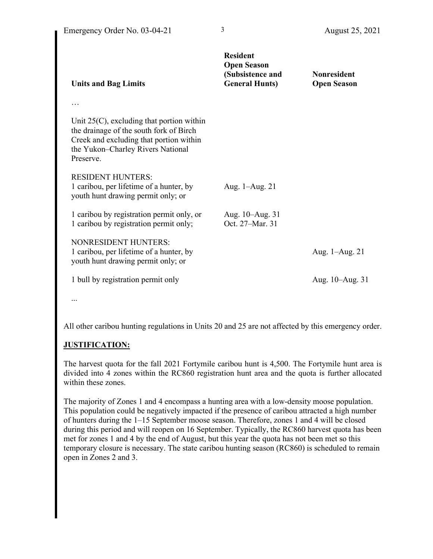| <b>Units and Bag Limits</b>                                                                                                                                                          | <b>Resident</b><br><b>Open Season</b><br>(Subsistence and<br><b>General Hunts)</b> | <b>Nonresident</b><br><b>Open Season</b> |
|--------------------------------------------------------------------------------------------------------------------------------------------------------------------------------------|------------------------------------------------------------------------------------|------------------------------------------|
|                                                                                                                                                                                      |                                                                                    |                                          |
| Unit $25(C)$ , excluding that portion within<br>the drainage of the south fork of Birch<br>Creek and excluding that portion within<br>the Yukon-Charley Rivers National<br>Preserve. |                                                                                    |                                          |
| <b>RESIDENT HUNTERS:</b><br>1 caribou, per lifetime of a hunter, by<br>youth hunt drawing permit only; or                                                                            | Aug. 1–Aug. 21                                                                     |                                          |
| 1 caribou by registration permit only, or<br>1 caribou by registration permit only;                                                                                                  | Aug. 10–Aug. 31<br>Oct. 27-Mar. 31                                                 |                                          |
| <b>NONRESIDENT HUNTERS:</b><br>1 caribou, per lifetime of a hunter, by<br>youth hunt drawing permit only; or                                                                         |                                                                                    | Aug. 1–Aug. 21                           |
| 1 bull by registration permit only                                                                                                                                                   |                                                                                    | Aug. 10–Aug. 31                          |
|                                                                                                                                                                                      |                                                                                    |                                          |

...

All other caribou hunting regulations in Units 20 and 25 are not affected by this emergency order.

# **JUSTIFICATION:**

The harvest quota for the fall 2021 Fortymile caribou hunt is 4,500. The Fortymile hunt area is divided into 4 zones within the RC860 registration hunt area and the quota is further allocated within these zones.

The majority of Zones 1 and 4 encompass a hunting area with a low-density moose population. This population could be negatively impacted if the presence of caribou attracted a high number of hunters during the 1–15 September moose season. Therefore, zones 1 and 4 will be closed during this period and will reopen on 16 September. Typically, the RC860 harvest quota has been met for zones 1 and 4 by the end of August, but this year the quota has not been met so this temporary closure is necessary. The state caribou hunting season (RC860) is scheduled to remain open in Zones 2 and 3.